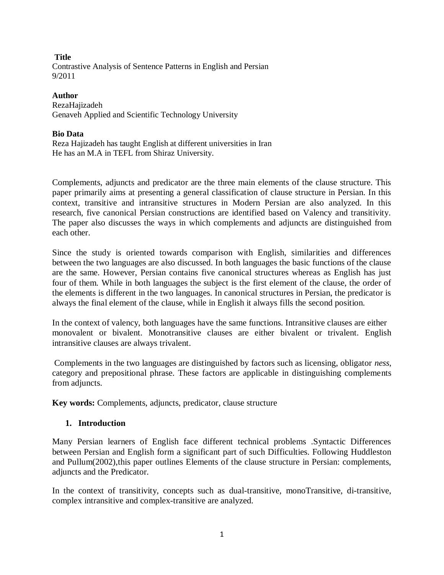## **Title**

Contrastive Analysis of Sentence Patterns in English and Persian 9/2011

## **Author**

**RezaHajizadeh** Genaveh Applied and Scientific Technology University

## **Bio Data**

Reza Hajizadeh has taught English at different universities in Iran He has an M.A in TEFL from Shiraz University.

Complements, adjuncts and predicator are the three main elements of the clause structure. This paper primarily aims at presenting a general classification of clause structure in Persian. In this context, transitive and intransitive structures in Modern Persian are also analyzed. In this research, five canonical Persian constructions are identified based on Valency and transitivity. The paper also discusses the ways in which complements and adjuncts are distinguished from each other.

Since the study is oriented towards comparison with English, similarities and differences between the two languages are also discussed. In both languages the basic functions of the clause are the same. However, Persian contains five canonical structures whereas as English has just four of them. While in both languages the subject is the first element of the clause, the order of the elements is different in the two languages. In canonical structures in Persian, the predicator is always the final element of the clause, while in English it always fills the second position.

In the context of valency, both languages have the same functions. Intransitive clauses are either monovalent or bivalent. Monotransitive clauses are either bivalent or trivalent. English intransitive clauses are always trivalent.

Complements in the two languages are distinguished by factors such as licensing, obligator *ness*, category and prepositional phrase. These factors are applicable in distinguishing complements from adjuncts.

**Key words:** Complements, adjuncts, predicator, clause structure

# **1. Introduction**

Many Persian learners of English face different technical problems .Syntactic Differences between Persian and English form a significant part of such Difficulties. Following Huddleston and Pullum(2002),this paper outlines Elements of the clause structure in Persian: complements, adjuncts and the Predicator.

In the context of transitivity, concepts such as dual-transitive, monoTransitive, di-transitive, complex intransitive and complex-transitive are analyzed.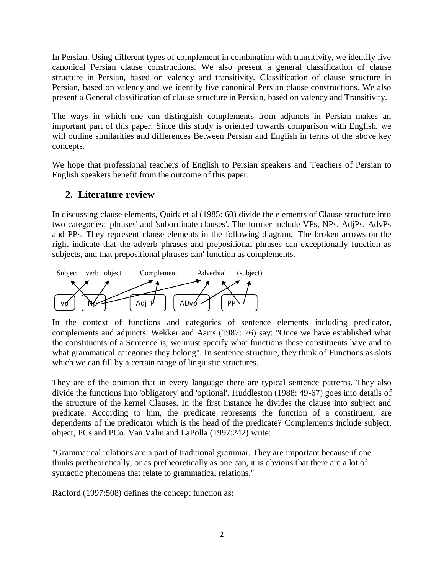In Persian, Using different types of complement in combination with transitivity, we identify five canonical Persian clause constructions. We also present a general classification of clause structure in Persian, based on valency and transitivity. Classification of clause structure in Persian, based on valency and we identify five canonical Persian clause constructions. We also present a General classification of clause structure in Persian, based on valency and Transitivity.

The ways in which one can distinguish complements from adjuncts in Persian makes an important part of this paper. Since this study is oriented towards comparison with English, we will outline similarities and differences Between Persian and English in terms of the above key concepts.

We hope that professional teachers of English to Persian speakers and Teachers of Persian to English speakers benefit from the outcome of this paper.

# **2. Literature review**

In discussing clause elements, Quirk et al (1985: 60) divide the elements of Clause structure into two categories: 'phrases' and 'subordinate clauses'. The former include VPs, NPs, AdjPs, AdvPs and PPs. They represent clause elements in the following diagram. 'The broken arrows on the right indicate that the adverb phrases and prepositional phrases can exceptionally function as subjects, and that prepositional phrases can' function as complements.



In the context of functions and categories of sentence elements including predicator, complements and adjuncts. Wekker and Aarts (1987: 76) say: "Once we have established what the constituents of a Sentence is, we must specify what functions these constituents have and to what grammatical categories they belong". In sentence structure, they think of Functions as slots which we can fill by a certain range of linguistic structures.

They are of the opinion that in every language there are typical sentence patterns. They also divide the functions into 'obligatory' and 'optional'. Huddleston (1988: 49-67) goes into details of the structure of the kernel Clauses. In the first instance he divides the clause into subject and predicate. According to him, the predicate represents the function of a constituent, are dependents of the predicator which is the head of the predicate? Complements include subject, object, PCs and PCo. Van Valin and LaPolla (1997:242) write:

"Grammatical relations are a part of traditional grammar. They are important because if one thinks pretheoretically, or as pretheoretically as one can, it is obvious that there are a lot of syntactic phenomena that relate to grammatical relations."

Radford (1997:508) defines the concept function as: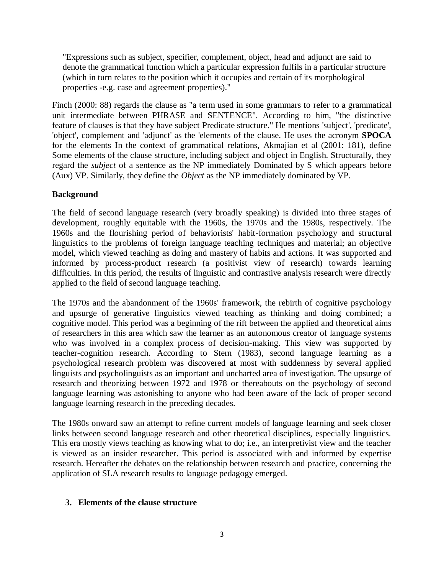"Expressions such as subject, specifier, complement, object, head and adjunct are said to denote the grammatical function which a particular expression fulfils in a particular structure (which in turn relates to the position which it occupies and certain of its morphological properties -e.g. case and agreement properties)."

Finch (2000: 88) regards the clause as "a term used in some grammars to refer to a grammatical unit intermediate between PHRASE and SENTENCE". According to him, "the distinctive feature of clauses is that they have subject Predicate structure." He mentions 'subject', 'predicate', 'object', complement and 'adjunct' as the 'elements of the clause. He uses the acronym **SPOCA**  for the elements In the context of grammatical relations, Akmajian et al (2001: 181), define Some elements of the clause structure, including subject and object in English. Structurally, they regard the *subject* of a sentence as the NP immediately Dominated by S which appears before (Aux) VP. Similarly, they define the *Object* as the NP immediately dominated by VP.

# **Background**

The field of second language research (very broadly speaking) is divided into three stages of development, roughly equitable with the 1960s, the 1970s and the 1980s, respectively. The 1960s and the flourishing period of behaviorists' habit-formation psychology and structural linguistics to the problems of foreign language teaching techniques and material; an objective model, which viewed teaching as doing and mastery of habits and actions. It was supported and informed by process-product research (a positivist view of research) towards learning difficulties. In this period, the results of linguistic and contrastive analysis research were directly applied to the field of second language teaching.

The 1970s and the abandonment of the 1960s' framework, the rebirth of cognitive psychology and upsurge of generative linguistics viewed teaching as thinking and doing combined; a cognitive model. This period was a beginning of the rift between the applied and theoretical aims of researchers in this area which saw the learner as an autonomous creator of language systems who was involved in a complex process of decision-making. This view was supported by teacher-cognition research. According to Stern (1983), second language learning as a psychological research problem was discovered at most with suddenness by several applied linguists and psycholinguists as an important and uncharted area of investigation. The upsurge of research and theorizing between 1972 and 1978 or thereabouts on the psychology of second language learning was astonishing to anyone who had been aware of the lack of proper second language learning research in the preceding decades.

The 1980s onward saw an attempt to refine current models of language learning and seek closer links between second language research and other theoretical disciplines, especially linguistics. This era mostly views teaching as knowing what to do; i.e., an interpretivist view and the teacher is viewed as an insider researcher. This period is associated with and informed by expertise research. Hereafter the debates on the relationship between research and practice, concerning the application of SLA research results to language pedagogy emerged.

## **3. Elements of the clause structure**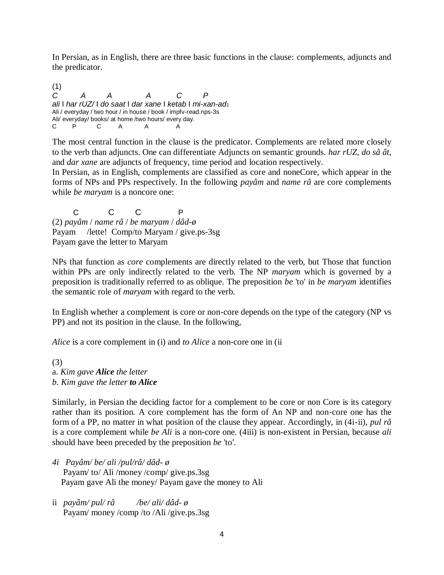In Persian, as in English, there are three basic functions in the clause: complements, adjuncts and the predicator.

(1) *C A A A C P ali* I *har rUZ/* I *do saat* I *dar xane* I *ketab* I *mi-xan-ad<sup>1</sup>* Ali / everyday / two hour / in house / book / impfv-read.nps-3s Ali/ everyday/ books/ at home /two hours/ every day. C P C A A A

The most central function in the clause is the predicator. Complements are related more closely to the verb than adjuncts. One can differentiate Adjuncts on semantic grounds. *har rUZ, do sâ ât,*  and *dar xane* are adjuncts of frequency, time period and location respectively.

In Persian, as in English, complements are classified as core and noneCore, which appear in the forms of NPs and PPs respectively. In the following *payâm* and *name râ* are core complements while *be maryam* is a noncore one:

 C C C P (2) *payâm* / *name râ* / *be maryam* / *dâd-ø* Payam /lette! Comp/to Maryam / give.ps-3sg Payam gave the letter to Maryam

NPs that function as *core* complements are directly related to the verb, but Those that function within PPs are only indirectly related to the verb. The NP *maryam* which is governed by a preposition is traditionally referred to as oblique. The preposition *be* 'to' in *be maryam* identifies the semantic role of *maryam* with regard to the verb.

In English whether a complement is core or non-core depends on the type of the category (NP vs PP) and not its position in the clause. In the following,

*Alice* is a core complement in (i) and *to Alice* a non-core one in (ii

(3) a. *Kim gave Alice the letter b. Kim gave the letter to Alice*

Similarly, in Persian the deciding factor for a complement to be core or non Core is its category rather than its position. A core complement has the form of An NP and non-core one has the form of a PP, no matter in what position of the clause they appear. Accordingly, in (4i-ii), *pul râ*  is a core complement while *be Ali* is a non-core one. (4iii) is non-existent in Persian, because *ali*  should have been preceded by the preposition *be* 'to'.

- *4i Payâm/ be/ ali /pul/râ/ dâd- ø* Payam/ to/ Ali /money /comp/ give.ps.3sg Payam gave Ali the money/ Payam gave the money to Ali
- ii *payâm/ pul/ râ /be/ ali/ dâd- ø* Payam/ money /comp /to /Ali /give.ps.3sg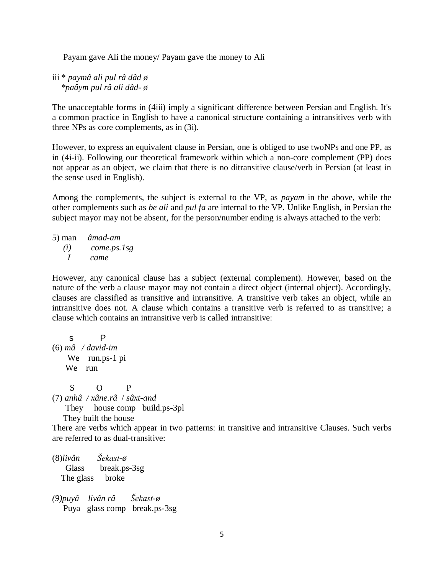Payam gave Ali the money/ Payam gave the money to Ali

iii \* *paymâ ali pul râ dâd ø \*paâym pul râ ali dâd- ø*

The unacceptable forms in (4iii) imply a significant difference between Persian and English. It's a common practice in English to have a canonical structure containing a intransitives verb with three NPs as core complements, as in (3i).

However, to express an equivalent clause in Persian, one is obliged to use twoNPs and one PP, as in (4i-ii). Following our theoretical framework within which a non-core complement (PP) does not appear as an object, we claim that there is no ditransitive clause/verb in Persian (at least in the sense used in English).

Among the complements, the subject is external to the VP, as *payam* in the above, while the other complements such as *be ali* and *pul fa* are internal to the VP. Unlike English, in Persian the subject mayor may not be absent, for the person/number ending is always attached to the verb:

5) man *âmad-am (i) come.ps.1sg I came*

However, any canonical clause has a subject (external complement). However, based on the nature of the verb a clause mayor may not contain a direct object (internal object). Accordingly, clauses are classified as transitive and intransitive. A transitive verb takes an object, while an intransitive does not. A clause which contains a transitive verb is referred to as transitive; a clause which contains an intransitive verb is called intransitive:

 s P (6) *mâ / david-im* We run.ps-1 pi We run

 S O P (7) *anhâ / xâne.râ* / *sâxt-and*

They house comp build.ps-3pl

They built the house

There are verbs which appear in two patterns: in transitive and intransitive Clauses. Such verbs are referred to as dual-transitive:

(8)*livân Šekast-ø* Glass break.ps-3sg The glass broke

*(9)puyâ livân râ Šekast-ø* Puya glass comp break.ps-3sg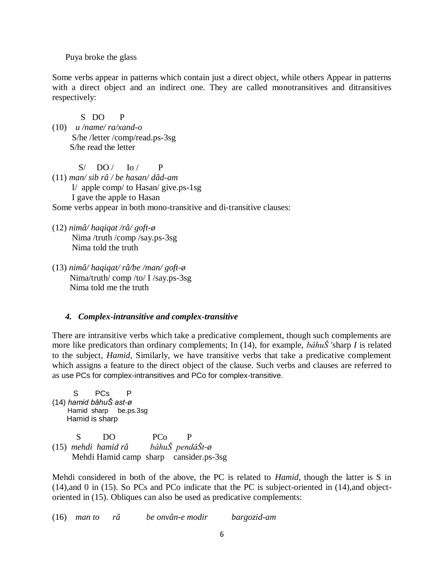Puya broke the glass

Some verbs appear in patterns which contain just a direct object, while others Appear in patterns with a direct object and an indirect one. They are called monotransitives and ditransitives respectively:

 S DO P (10) *u /name/ ra/xand-o* S/he /letter /comp/read.ps-3sg S/he read the letter

 $S/$  DO  $/$  Io  $/$  P (11) *man/ sib râ / be hasan/ dâd-am* I/ apple comp/ to Hasan/ give.ps-1sg I gave the apple to Hasan

Some verbs appear in both mono-transitive and di-transitive clauses:

(12) *nimâ/ haqiqat /râ/ goft-ø* Nima /truth /comp /say.ps-3sg Nima told the truth

(13) *nimâ/ haqiqat/ râ/be /man/ goft-ø* Nima/truth/ comp /to/ I /say.ps-3sg Nima told me the truth

## *4. Complex-intransitive and complex-transitive*

There are intransitive verbs which take a predicative complement, though such complements are more like predicators than ordinary complements; In (14), for example, *bâhuŠ* 'sharp *I* is related to the subject, *Hamid,* Similarly, we have transitive verbs that take a predicative complement which assigns a feature to the direct object of the clause. Such verbs and clauses are referred to as use PCs for complex-intransitives and PCo for complex-transitive.

 S PCs P (14) *hamid bâhuŠ ast-ø* Hamid sharp be.ps.3sg Hamid is sharp

S DO PC<sub>o</sub> P (15) *mehdi hamid râ bâhuŠ pendâŠt-ø* Mehdi Hamid camp sharp cansider.ps-3sg

Mehdi considered in both of the above, the PC is related to *Hamid,* though the latter is S in (14),and 0 in (15). So PCs and PCo indicate that the PC is subject-oriented in (14),and objectoriented in (15). Obliques can also be used as predicative complements:

(16) *man to râ be onvân-e modir bargozid-am*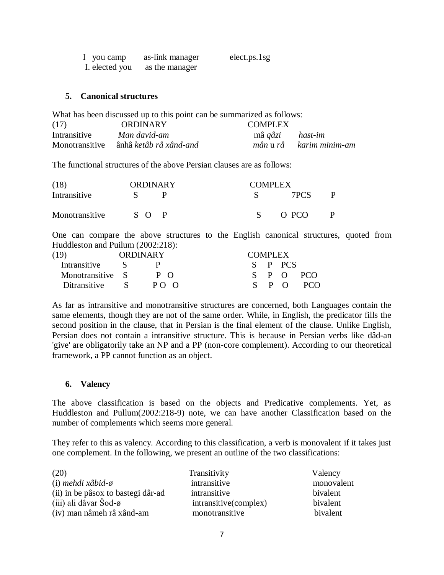| I you camp     | as-link manager | elect.ps.1sg |
|----------------|-----------------|--------------|
| I. elected you | as the manager  |              |

#### **5. Canonical structures**

|                | What has been discussed up to this point can be summarized as follows: |                |                         |
|----------------|------------------------------------------------------------------------|----------------|-------------------------|
| (17)           | <b>ORDINARY</b>                                                        | <b>COMPLEX</b> |                         |
| Intransitive   | Man david-am                                                           | mâ <i>qâzi</i> | hast-im                 |
| Monotransitive | ânhâ <i>ketâb râ xând-and</i>                                          |                | mân u râ barim minim-am |

The functional structures of the above Persian clauses are as follows:

| (18)           | <b>ORDINARY</b> |     | <b>COMPLEX</b> |  |
|----------------|-----------------|-----|----------------|--|
| Intransitive   |                 |     | 7PCS           |  |
| Monotransitive | $S \cap P$      | S., | O PCO          |  |

One can compare the above structures to the English canonical structures, quoted from Huddleston and Puilum (2002:218):

| (19)             | <b>ORDINARY</b> | <b>COMPLEX</b> |         |         |                      |
|------------------|-----------------|----------------|---------|---------|----------------------|
| Intransitive S   |                 |                |         | S P PCS |                      |
| Monotransitive S | P <sub>0</sub>  |                |         |         | $S \t P \t O \t PCO$ |
| Ditransitive S   | PO O            |                | $S$ P O |         | <b>PCO</b>           |

As far as intransitive and monotransitive structures are concerned, both Languages contain the same elements, though they are not of the same order. While, in English, the predicator fills the second position in the clause, that in Persian is the final element of the clause. Unlike English, Persian does not contain a intransitive structure. This is because in Persian verbs like dâd-an 'give' are obligatorily take an NP and a PP (non-core complement). According to our theoretical framework, a PP cannot function as an object.

## **6. Valency**

The above classification is based on the objects and Predicative complements. Yet, as Huddleston and Pullum(2002:218-9) note, we can have another Classification based on the number of complements which seems more general.

They refer to this as valency. According to this classification, a verb is monovalent if it takes just one complement. In the following, we present an outline of the two classifications:

| (20)                               | Transitivity          | Valency    |
|------------------------------------|-----------------------|------------|
| (i) mehdi xâbid- $\phi$            | intransitive          | monovalent |
| (ii) in be pâsox to bastegi dâr-ad | intransitive          | bivalent   |
| (iii) ali dâvar Šod- $\phi$        | intransitive(complex) | bivalent   |
| (iv) man nâmeh râ xând-am          | monotransitive        | bivalent   |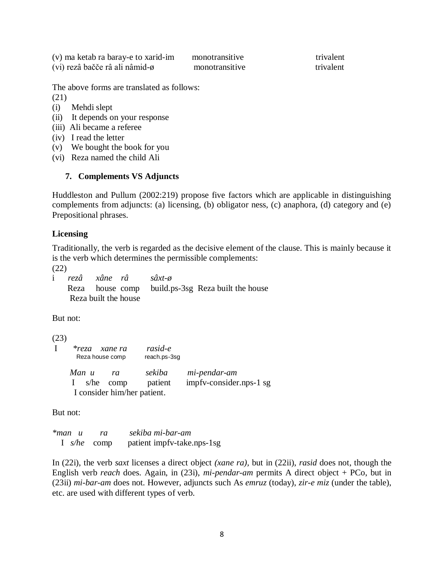| (v) ma ketab ra baray-e to xarid-im | monotransitive | trivalent |
|-------------------------------------|----------------|-----------|
| (vi) rezâ bačče râ ali nâmid-ø      | monotransitive | trivalent |

The above forms are translated as follows:

(21)

- (i) Mehdi slept
- (ii) It depends on your response
- (iii) Ali became a referee
- (iv) I read the letter
- (v) We bought the book for you
- (vi) Reza named the child Ali

#### **7. Complements VS Adjuncts**

Huddleston and Pullum (2002:219) propose five factors which are applicable in distinguishing complements from adjuncts: (a) licensing, (b) obligator ness, (c) anaphora, (d) category and (e) Prepositional phrases.

#### **Licensing**

Traditionally, the verb is regarded as the decisive element of the clause. This is mainly because it is the verb which determines the permissible complements:

(22)

i *rezâ xâne râ sâxt-ø* Reza house comp build.ps-3sg Reza built the house Reza built the house

But not:

```
(23)
I *reza xane ra rasid-e
     Reza house comp
     Man u ra sekiba mi-pendar-am
     I s/he comp patient impfv-consider.nps-1 sg
     I consider him/her patient.
```
But not:

| $*$ man u     | ra | sekiba mi-bar-am           |
|---------------|----|----------------------------|
| I $s/he$ comp |    | patient impfv-take.nps-1sg |

In (22i), the verb *saxt* licenses a direct object *(xane ra),* but in (22ii), *rasid* does not, though the English verb *reach* does. Again, in (23i), *mi-pendar-am* permits A direct object + PCo, but in (23ii) *mi-bar-am* does not. However, adjuncts such As *emruz* (today), *zir-e miz* (under the table), etc. are used with different types of verb.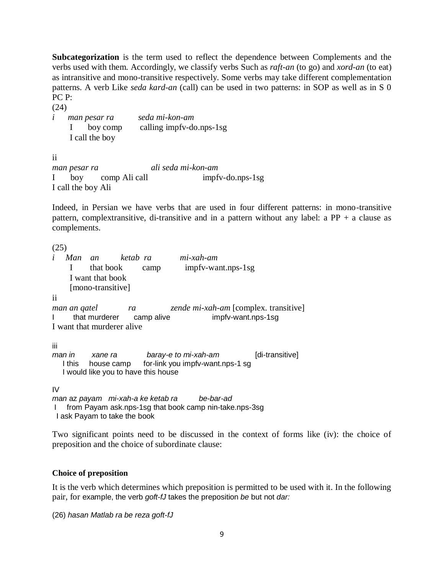**Subcategorization** is the term used to reflect the dependence between Complements and the verbs used with them. Accordingly, we classify verbs Such as *raft-an* (to go) and *xord-an* (to eat) as intransitive and mono-transitive respectively. Some verbs may take different complementation patterns. A verb Like *seda kard-an* (call) can be used in two patterns: in SOP as well as in S 0 PC P:

(24)

*i man pesar ra seda mi-kon-am* I boy comp calling impfv-do.nps-1sg I call the boy

ii *man pesar ra ali seda mi-kon-am* I boy comp Ali call impfv-do.nps-1sg I call the boy Ali

Indeed, in Persian we have verbs that are used in four different patterns: in mono-transitive pattern, complextransitive, di-transitive and in a pattern without any label: a  $PP + a$  clause as complements.

(25)

*i Man an ketab ra mi-xah-am* I that book camp impfv-want.nps-1sg I want that book [mono-transitive] ii *man an qatel ra zende mi-xah-am* [complex. transitive] that murderer camp alive impfy-want.nps-1sq I want that murderer alive iii *man in xane ra baray-e to mi-xah-am* [di-transitive] I this house camp for-link you impfy-want.nps-1 sg I would like you to have this house IV *man* az *payam mi-xah-a ke ketab ra be-bar-ad* I from Payam ask.nps-1sg that book camp nin-take.nps-3sg

I ask Payam to take the book

Two significant points need to be discussed in the context of forms like (iv): the choice of preposition and the choice of subordinate clause:

## **Choice of preposition**

It is the verb which determines which preposition is permitted to be used with it. In the following pair, for example, the verb *goft-fJ* takes the preposition *be* but not *dar:*

(26) *hasan Matlab ra be reza goft-fJ*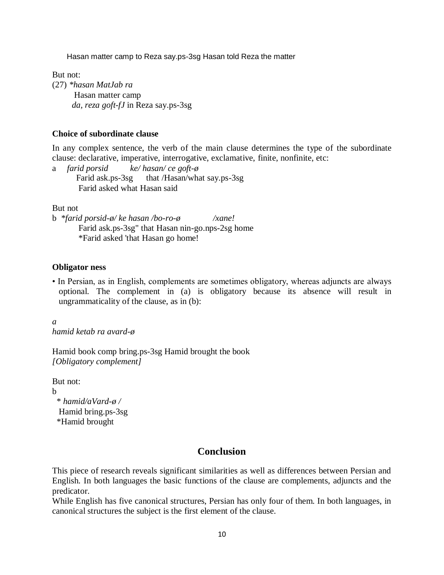Hasan matter camp to Reza say.ps-3sg Hasan told Reza the matter

But not: (27) *\*hasan MatJab ra* Hasan matter camp  *da, reza goft-fJ* in Reza say.ps-3sg

#### **Choice of subordinate clause**

In any complex sentence, the verb of the main clause determines the type of the subordinate clause: declarative, imperative, interrogative, exclamative, finite, nonfinite, etc:

a *farid porsid ke/ hasan/ ce goft-ø* Farid ask.ps-3sg that /Hasan/what say.ps-3sg Farid asked what Hasan said

But not

```
b *farid porsid-ø/ ke hasan /bo-ro-ø /xane!
        Farid ask.ps-3sg" that Hasan nin-go.nps-2sg home
        *Farid asked 'that Hasan go home!
```
#### **Obligator ness**

• In Persian, as in English, complements are sometimes obligatory, whereas adjuncts are always optional. The complement in (a) is obligatory because its absence will result in ungrammaticality of the clause, as in (b):

*a hamid ketab ra avard-ø*

Hamid book comp bring.ps-3sg Hamid brought the book *[Obligatory complement]*

But not: b \* *hamid/aVard-ø /* Hamid bring.ps-3sg \*Hamid brought

## **Conclusion**

This piece of research reveals significant similarities as well as differences between Persian and English. In both languages the basic functions of the clause are complements, adjuncts and the predicator.

While English has five canonical structures, Persian has only four of them. In both languages, in canonical structures the subject is the first element of the clause.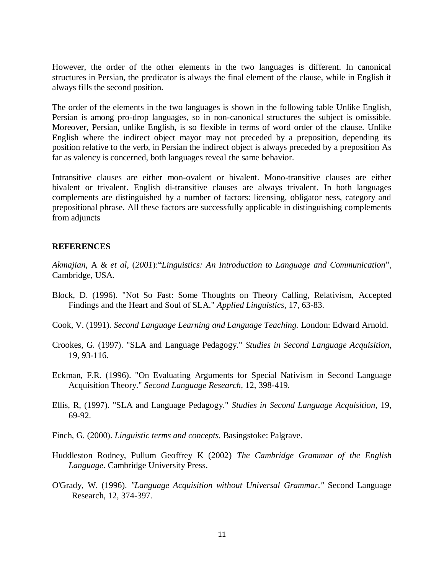However, the order of the other elements in the two languages is different. In canonical structures in Persian, the predicator is always the final element of the clause, while in English it always fills the second position.

The order of the elements in the two languages is shown in the following table Unlike English, Persian is among pro-drop languages, so in non-canonical structures the subject is omissible. Moreover, Persian, unlike English, is so flexible in terms of word order of the clause. Unlike English where the indirect object mayor may not preceded by a preposition, depending its position relative to the verb, in Persian the indirect object is always preceded by a preposition As far as valency is concerned, both languages reveal the same behavior.

Intransitive clauses are either mon-ovalent or bivalent. Mono-transitive clauses are either bivalent or trivalent. English di-transitive clauses are always trivalent. In both languages complements are distinguished by a number of factors: licensing, obligator ness, category and prepositional phrase. All these factors are successfully applicable in distinguishing complements from adjuncts

#### **REFERENCES**

*Akmajian*, A & *et al*, (*2001*):"*Linguistics: An Introduction to Language and Communication*", Cambridge, USA.

- Block, D. (1996). "Not So Fast: Some Thoughts on Theory Calling, Relativism, Accepted Findings and the Heart and Soul of SLA." *Applied Linguistics*, 17, 63-83.
- Cook, V. (1991). *Second Language Learning and Language Teaching.* London: Edward Arnold.
- Crookes, G. (1997). "SLA and Language Pedagogy." *Studies in Second Language Acquisition*, 19, 93-116.
- Eckman, F.R. (1996). "On Evaluating Arguments for Special Nativism in Second Language Acquisition Theory." *Second Language Research*, 12, 398-419.
- Ellis, R, (1997). "SLA and Language Pedagogy." *Studies in Second Language Acquisition*, 19, 69-92.
- Finch, G. (2000). *Linguistic terms and concepts.* Basingstoke: Palgrave.
- Huddleston Rodney, Pullum Geoffrey K (2002) *The Cambridge Grammar of the English Language*. Cambridge University Press.
- O'Grady, W. (1996). *"Language Acquisition without Universal Grammar."* Second Language Research, 12, 374-397.